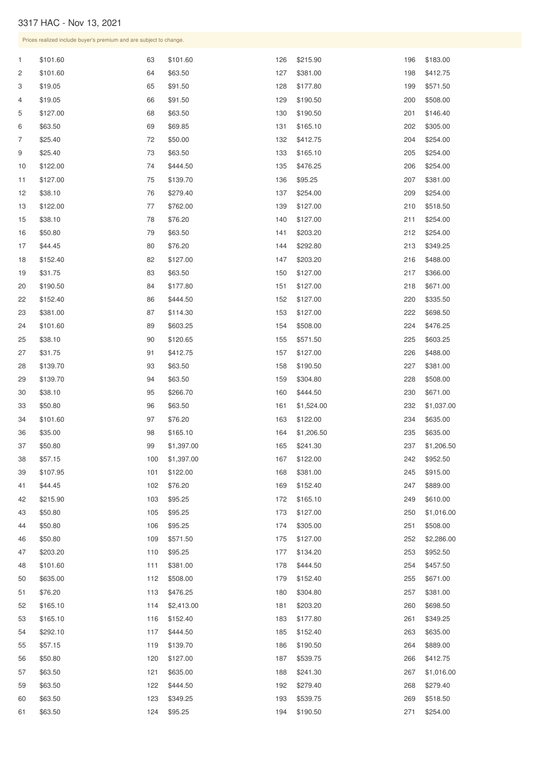## HAC - Nov 13, 2021

|              | Prices realized include buyer's premium and are subject to change. |       |            |     |            |     |            |  |  |  |
|--------------|--------------------------------------------------------------------|-------|------------|-----|------------|-----|------------|--|--|--|
| $\mathbf{1}$ | \$101.60                                                           | 63    | \$101.60   | 126 | \$215.90   | 196 | \$183.00   |  |  |  |
| 2            | \$101.60                                                           | 64    | \$63.50    | 127 | \$381.00   | 198 | \$412.75   |  |  |  |
| 3            | \$19.05                                                            | 65    | \$91.50    | 128 | \$177.80   | 199 | \$571.50   |  |  |  |
| 4            | \$19.05                                                            | 66    | \$91.50    | 129 | \$190.50   | 200 | \$508.00   |  |  |  |
| 5            | \$127.00                                                           | 68    | \$63.50    | 130 | \$190.50   | 201 | \$146.40   |  |  |  |
| 6            | \$63.50                                                            | 69    | \$69.85    | 131 | \$165.10   | 202 | \$305.00   |  |  |  |
| 7            | \$25.40                                                            | 72    | \$50.00    | 132 | \$412.75   | 204 | \$254.00   |  |  |  |
| 9            | \$25.40                                                            | 73    | \$63.50    | 133 | \$165.10   | 205 | \$254.00   |  |  |  |
| 10           | \$122.00                                                           | 74    | \$444.50   | 135 | \$476.25   | 206 | \$254.00   |  |  |  |
| 11           | \$127.00                                                           | 75    | \$139.70   | 136 | \$95.25    | 207 | \$381.00   |  |  |  |
| 12           | \$38.10                                                            | 76    | \$279.40   | 137 | \$254.00   | 209 | \$254.00   |  |  |  |
| 13           | \$122.00                                                           | 77    | \$762.00   | 139 | \$127.00   | 210 | \$518.50   |  |  |  |
| 15           | \$38.10                                                            | 78    | \$76.20    | 140 | \$127.00   | 211 | \$254.00   |  |  |  |
| 16           | \$50.80                                                            | 79    | \$63.50    | 141 | \$203.20   | 212 | \$254.00   |  |  |  |
| 17           | \$44.45                                                            | 80    | \$76.20    | 144 | \$292.80   | 213 | \$349.25   |  |  |  |
| 18           | \$152.40                                                           | 82    | \$127.00   | 147 | \$203.20   | 216 | \$488.00   |  |  |  |
| 19           | \$31.75                                                            | 83    | \$63.50    | 150 | \$127.00   | 217 | \$366.00   |  |  |  |
| 20           | \$190.50                                                           | 84    | \$177.80   | 151 | \$127.00   | 218 | \$671.00   |  |  |  |
| 22           | \$152.40                                                           | 86    | \$444.50   | 152 | \$127.00   | 220 | \$335.50   |  |  |  |
| 23           | \$381.00                                                           | 87    | \$114.30   | 153 | \$127.00   | 222 | \$698.50   |  |  |  |
| 24           | \$101.60                                                           | 89    | \$603.25   | 154 | \$508.00   | 224 | \$476.25   |  |  |  |
| 25           | \$38.10                                                            | 90    | \$120.65   | 155 | \$571.50   | 225 | \$603.25   |  |  |  |
| 27           | \$31.75                                                            | 91    | \$412.75   | 157 | \$127.00   | 226 | \$488.00   |  |  |  |
| 28           | \$139.70                                                           | 93    | \$63.50    | 158 | \$190.50   | 227 | \$381.00   |  |  |  |
| 29           | \$139.70                                                           | 94    | \$63.50    | 159 | \$304.80   | 228 | \$508.00   |  |  |  |
| 30           | \$38.10                                                            | 95    | \$266.70   | 160 | \$444.50   | 230 | \$671.00   |  |  |  |
| 33           | \$50.80                                                            | 96    | \$63.50    | 161 | \$1,524.00 | 232 | \$1,037.00 |  |  |  |
| 34           | \$101.60                                                           | 97    | \$76.20    | 163 | \$122.00   | 234 | \$635.00   |  |  |  |
| 36           | \$35.00                                                            | 98    | \$165.10   | 164 | \$1,206.50 | 235 | \$635.00   |  |  |  |
| 37           | \$50.80                                                            | 99    | \$1,397.00 | 165 | \$241.30   | 237 | \$1,206.50 |  |  |  |
| 38           | \$57.15                                                            | 100   | \$1,397.00 | 167 | \$122.00   | 242 | \$952.50   |  |  |  |
| 39           | \$107.95                                                           | 101   | \$122.00   | 168 | \$381.00   | 245 | \$915.00   |  |  |  |
| 41           | \$44.45                                                            | 102   | \$76.20    | 169 | \$152.40   | 247 | \$889.00   |  |  |  |
| 42           | \$215.90                                                           | 103   | \$95.25    | 172 | \$165.10   | 249 | \$610.00   |  |  |  |
| 43           | \$50.80                                                            | 105   | \$95.25    | 173 | \$127.00   | 250 | \$1,016.00 |  |  |  |
| 44           | \$50.80                                                            | 106   | \$95.25    | 174 | \$305.00   | 251 | \$508.00   |  |  |  |
| 46           | \$50.80                                                            | 109   | \$571.50   | 175 | \$127.00   | 252 | \$2,286.00 |  |  |  |
| 47           | \$203.20                                                           | 110   | \$95.25    | 177 | \$134.20   | 253 | \$952.50   |  |  |  |
| 48           | \$101.60                                                           | $111$ | \$381.00   | 178 | \$444.50   | 254 | \$457.50   |  |  |  |
| 50           | \$635.00                                                           | 112   | \$508.00   | 179 | \$152.40   | 255 | \$671.00   |  |  |  |
| 51           | \$76.20                                                            | 113   | \$476.25   | 180 | \$304.80   | 257 | \$381.00   |  |  |  |
| 52           | \$165.10                                                           | 114   | \$2,413.00 | 181 | \$203.20   | 260 | \$698.50   |  |  |  |
| 53           | \$165.10                                                           | 116   | \$152.40   | 183 | \$177.80   | 261 | \$349.25   |  |  |  |
| 54           | \$292.10                                                           | 117   | \$444.50   | 185 | \$152.40   | 263 | \$635.00   |  |  |  |
| 55           | \$57.15                                                            | 119   | \$139.70   | 186 | \$190.50   | 264 | \$889.00   |  |  |  |
| 56           | \$50.80                                                            | 120   | \$127.00   | 187 | \$539.75   | 266 | \$412.75   |  |  |  |
| 57           | \$63.50                                                            | 121   | \$635.00   | 188 | \$241.30   | 267 | \$1,016.00 |  |  |  |
| 59           | \$63.50                                                            | 122   | \$444.50   | 192 | \$279.40   | 268 | \$279.40   |  |  |  |
| 60           | \$63.50                                                            | 123   | \$349.25   | 193 | \$539.75   | 269 | \$518.50   |  |  |  |
| 61           | \$63.50                                                            | 124   | \$95.25    | 194 | \$190.50   | 271 | \$254.00   |  |  |  |